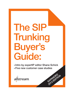# The SIP Trunking Buyer's Guide:

• Intro by expertIP editor Shane Schick

EXPANDED

2012 EDITION

• Five new customer case studies

allstream.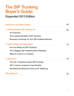## The SIP Trunking Buyer's Guide:

### Expanded 2013 Edition

| <b>Introduction by Shane Schick</b>                     | 03 |
|---------------------------------------------------------|----|
| 1. Getting Started: SIP Trunking 101                    | 05 |
| <b>An Overview</b>                                      |    |
| The Leading Benefits of SIP Trunking                    |    |
| <b>Business Continuity for Your SIP-enabled Network</b> |    |
| 2. Getting Ready for Deployment                         | 13 |
| Are You Ready for SIP Trunking?                         |    |
| The 5 Biggest SIP Implementation Mistakes               |    |
| What to Look for in a Vendor                            |    |
| 3. Resources                                            | 19 |
| The Top 7 Questions about SIP Trunking                  |    |
| <b>SIP in Action: Customer Case Studies</b>             |    |
| Revisiting the Business Case for IP Telephony           |    |
| <b>Why Allstream</b>                                    | 32 |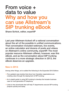## From voice + data to value Why and how you can use Allstream's SIP trunking eBook

Shane Schick, editor, expertIP

Last year Allstream kicked off a national conversation about the art of the possible in unified communications. That conversation included webinars, live events, an online calculator and dozens of posts and videos on Allstream's online community, expertIP. The most popular resource Allstream offered, however, was this eBook, and as the conversation about SIP trunking continues in a more strategic direction in 2013, the eBook deserves an upgrade.

#### New in 2013:

Among other things, we've added the following to the Expanded 2013 Edition:

- $\rightarrow$  Five updated case studies that show how Canadian organizations are creating value through the deployment of SIP trunking.
- $\rightarrow$  An in-depth guide to using SIP trunking to develop the broader business case for next-generation IP telephony.
- $\rightarrow$  Links to free downloads that will help IT departments execute SIP trunking projects quickly and easily.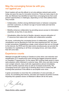#### May the converging forces be with you, not against you

Smart readers will use this eBook to not only address network pain points today, but pave the way for innovation tomorrow. There are many ways to do that, but Allstream has identified at least three converging forces that could present opportunities or challenges, depending on how CIOs address them. They include:

- $\rightarrow$  Collaboration, whether among distributed teams or between companies and their customers, is critical in an age of social media and real-time communications.
- $\rightarrow$  Mobility enhances collaboration by providing secure access to information anywhere, at any time, to any device.
- $\rightarrow$  Virtualization offers the kind of flexible, dynamic resource allocation of IT resources that makes both mobility and collaboration possible.

Of course, confronting the converging forces of collaboration, mobility and virtualization can be daunting for even the most experienced CIO. You have to start somewhere. Establishing a single, smart network that can run through to the Internet, the PSTN and the data centre simultaneously can provide the foundation for capitalizing on all three converging forces, and many others that will come later.

#### Experience counts

Allstream brought SIP trunking to Canada at a time when cost reduction and simplification of IT infrastructure were among the biggest pressures placed on Canadian IT departments. It's the reason SIP trunking made sense to many early adopters within Allstream's customer base. With voice and data moving over a single network, many multi-site organizations almost immediately saw their monthly expenses drop as well as increased productivity. The converging forces are a good way of thinking about how to extend the SIP trunking best practices in this eBook to accomplish even more.

A great conversation is more than the combination of voice and data, of course. It's something that informs, educates and inspires all parties involved. Hopefully this updated version of Allstream's eBook will do the same.

them felix

Shane Schick, editor, expertIP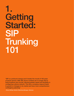## 1. Getting Started: SIP Trunking 101

"SIP is a profound change and it breaks the mould of 100 years of phone service. With SIP, phone numbers are no longer tied to fixed locations and circuits, allowing greater speed and flexibility in configuring a phone network. This lets a company respond faster to growth or changes in its market and have more comprehensive contingency planning"

– Bruce McKay, Solution Marketing Manager, Allstream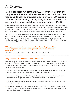## An Overview

Most businesses run standard PBX or key systems that are supplemented by trunk side access services purchased from traditional telephony providers (also known as TDM trunking). T1, PRI, BRI and analog lines typically handle voice traffic to and from the Public Switched Telephone Network (PSTN).

In this situation, businesses must manage each voice and data connection and network separately. This separation creates the need for multiple infrastructures, cabling systems, maintenance processes and subscription fees. Running multiple networks also results in a high degree of inflexibility, as the networks don't work with each other to help businesses scale and adapt to new technology.

Session Initiation Protocol (SIP) trunking uses IP and Internet technologies to converge voice and data traffic over a single network. It allows businesses to connect an IP PBX to the PSTN via a service provider IP access circuit. As a result, businesses will no longer need traditional PSTN circuits. Just one IP access can handle a variety of communications including VoIP, interoffice voice communication, data traffic and Internet traffic.

"Although cost reduction is important, sometimes it's not the primary driver, a lot of companies want to take advantage of advanced communications technologies."

– Melanie Turek, Industry Director, Information Communications Technologies, Frost & Sullivan

#### Why Choose SIP Over Other VoIP Protocols?

VoIP technology allows you to make and receive phone calls over IP networks such as an MPLS network or the Internet. SIP is a signalling protocol that excels at establishing, managing and terminating real time communications such as voice, video and other media sessions. Here are three key advantages of SIP:

- $\rightarrow$  SIP addresses the shortcomings of traditional phone lines, delivering additional cost savings and productivity benefits to businesses with IP telephony investments.
- $\rightarrow$  Businesses deploying SIP trunking today are likely to enjoy accelerated growth and greater profitability through operational efficiencies and a more productive workforce.
- $\rightarrow$  SIP can add value to existing communications investments and boost an organization's longterm competitive positioning.
- $\rightarrow$  SIP enables businesses to get more from unified communications by enabling end-to-end IP connectivity throughout the organization, making UC features more accessible, efficient, and easier and less expensive to manage.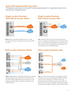#### Typical SIP Implementation Scenarios

The diagrams below depict a typical SIP trunking implementation for a single site location and a business with multiple locations.

#### Single Location Business With Internet Access: Before



Before: Office computers and telephones run on a LAN, with a data connection to the Internet and voice to the PSTN via a PBX.

#### Single Location Business With Internet Access: After



After: Telephone calls are now made through the Internet, which is connected to the PSTN and out to the world via a SIP trunk. You no longer need a dedicated voice connection to the PSTN, reducing costs, simplifying network management time and maintenance, and increasing efficiency.

#### $\bigoplus$ (出 Internet Data **Data Network**  $\frac{1}{2}$  $\frac{1}{2}$ \$E Small Office **PSTN**  $\frac{1}{\sqrt{2}}$ o

Before: Multiple offices connected by a data network, with each location managing its own connections to the Internet and to the PSTN through multiple PBXs. Voice and data are run over separate networks, leading to duplication of equipment and connection points.



After: An IP VPN has been deployed, simplifying the network, controlling costs and improving business flexibility. That data network is then connected to the PSTN via a SIP trunk, eliminating the need for PBX connections at each office. The data network now carries voice traffic, with business continuity through automated failover capability in case of network failure.

#### Multi Location Business: Before **Multi Location Business: After**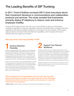## The Leading Benefits of SIP Trunking

#### In 2011, Frost & Sullivan surveyed 205 C-level executives about their investment decisions in communications and collaboration products and services. The study revealed that businesses primarily deploy IP telephony to reduce costs and enhance employee mobility.

However, SIP trunking can also help unify your communications to give you a tremendous competitive advantage. Companies using legacy networks risk falling behind competitors that have upgraded to SIP, because traditional telephony cannot deliver the many benefits of SIP trunking. Legacy networks also have limited call redirection capabilities, which increases the threat of downtime that can cripple your business.

#### Here are some of the key benefits of SIP:



Perhaps the biggest benefit of SIP trunking is that it substantially improves business flexibility. Because SIP trunking is not tied to specific locations, it allows you to maintain a virtual presence in any area where your provider offers service. For example, if your headquarters are located in Vancouver, but you want to launch a marketing campaign in Montreal, you can use Montreal phone numbers even if you do not have an office or telephone lines there.

When you open a new office, you can activate telephone numbers for that region before the site opens. SIP trunks may be used to consolidate all of your switches into one or two physical locations so you don't need to buy voice circuits in every city where you have an office. This provides you with a faster time-to-market and is a cost-effective way to build a presence in a new location before you are up and running.

### Support Your Remote **Workforce**

In today's mobile economy, employees rarely spend all of their time at the office. According to Frost & Sullivan, 85% of companies have remote employees. SIP trunking gives you the technology to support your remote workers while maintaining a professional presence. For example, a customer can call a remote employee's single reach number, and the call will automatically be routed to the employee's cell phone. This makes it look like your remote workers are in the office, even when they are working from home.

Enabling employees to work remotely can also help you save on office space and equipment, as you won't need a phone line or desk for everyone in your company.

"Many companies are now going global, when five years ago, they didn't have the technology to be global, this makes them look at their technology infrastructure and ask how they can enable communications in a way that makes them more productive."

– Melanie Turek, Industry Director, Information Communications Technologies, Frost & Sullivan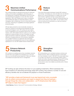#### Maximize Unified<br>Communications Performance Maximize Unified Communications Performance

SIP trunking provides an optimized environment for advanced unified communications capabilities by eliminating many of the inefficiencies of traditional TDM telephony and PRI circuits and streamlining the integration of voice with other network applications. With a SIP infrastructure in place, an enterprise can simultaneously deploy UC apps like presence, instant messaging, video-conferencing, common virtual white-boarding and more, maximizing UC capabilities and bringing significant productivity gains.

SIP also helps provide the cross-functionality necessary to extend UC solutions to the devices that employees are using at work and bringing to work. SIP trunking can even extend some UC applications such as presence beyond the LAN. For instance, with a SIP-enabled network in place you can configure presence to reveal the status not only of coworkers, but also clients and partners outside the organization. The potential for efficiently converging advanced communications capabilities onto a single IP network is so great that many technology manufacturers are developing their future UC and collaboration applications to run over SIP-enabled network infrastructures.



A key driver that propels businesses towards SIP trunking is cost savings. Converging your voice and data onto one network allows you to cancel subscriptions to multiple voice circuits, which results in significant savings on long distance and hardware costs. For instance, using SIP trunking eliminates the need for every location to have a PBX. You can further control costs by buying only the bandwidth you need and sharing it between voice and data.

#### Enhance Network<br>Productivity Enhance Network **Productivity**

SIP trunking is an enabling service that consolidates networks and lets them work together. By centralizing your voice and data, you can eliminate excess equipment, make your network more efficient and spend less time on management.



SIP trunking allows you to centralize business continuity and disaster recovery. When a traditional network is interrupted, you must manually re-route it. With SIP, if the power goes down in one office, the network can automatically redirect calls to another site without disrupting business. Because SIP trunking vastly reduces the need to have hardware at all locations, phone service is also more reliable as potential points of failure are eliminated.

SIP trunking can also enhance the return on your existing investments. When businesses that have invested in IP networking technology adopt SIP trunking, they achieve a number of cost and efficiency benefits that can accelerate the payback on those investments.

"SIP provides a basis and framework to go way beyond just voice, as people look at unified communications and ways to expand how they do business – through things like video and collaboration – an IP infrastructure that utilizes SIP helps to make that happen."

– Grant Bykowy, Director, Voice and IP Communications Strategy, Allstream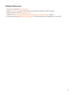#### Related Resources

- → Try this convenient ROI calculator
- → Watch this video to learn more about the business benefits of SIP trunking
- → More benefits of SIP at allstream.com
- → Watch the SIP Trunking: Take Your UC Strategy to the Next Level webinar
- → Download this free Allstream white paper on best practices for deploying UC with SIP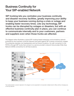## Business Continuity for Your SIP-enabled Network

SIP trunking lets you centralize your business continuity and disaster recovery facilities, greatly improving your ability to keep your business running during a crisis or outage and enabling faster recovery times. Like any technology, SIP trunks can be disrupted by outages or disasters, but with an effective business continuity plan in place, you can continue to communicate internally and to your customers, partners and suppliers even when those trunks are affected.

The diagram below illustrates a typical SIP trunking-based enterprise communications network protected by key business continuity features that guard against SIP trunking connectivity outages. The enterprise operates one headquarters and two branch locations. Its main connection to the PSTN is through SIP trunks that connect to a service provider's network that provides Wide Area Network (WAN) connectivity for all three locations.



The implementation scenario depicted in the diagram can be expanded to incorporate multiple branch offices without changing any of the key features.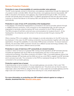#### Service Protection Features

#### Protection in case of inaccessibility of a service provider voice gateway

The SIP trunks typically connect to the primary voice gateway implemented through the deployment of a session border controller (SBC). Should the primary voice gateway become inaccessible, SIP traffic is rerouted to the backup voice gateway, also implemented through an SBC. The service provider will typically place the backup SBC in a different geographical area and will work with the customer to ensure that failover to the backup SBC and fail back to the primary SBC takes place automatically.

#### Protection in case of loss of IP connectivity at the headquarters

In the diagram, the enterprise headquarters is connected to the service provider network through a 10MBps Ethernet connection. If the connection to the headquarters fails, the SIP trunks are engineered to terminate using the backup SIP trunk connection to the IP PBX at location B. The PBX at location B will then control all voice communications for locations B and C. At the headquarters, the enterprise can still connect to the service provider through a backup PRI connection.

When a backup PRI is not available, other strategies to provide redundancy for the SIP trunks may be employed. In this case, the SIP trunking connectivity may be protected, together with other data applications, through the availability of a secondary WAN access connection. To ensure maximum diversity, the secondary WAN connection should use a different access technology (wireless, DSL, Internet) and in some cases a different service provider.

#### Protection in case of total loss of IP connectivity at a branch location

Location C does not have an on premise PBX. During normal operations all SIP terminals (phones included) are registered with the IP PBX at the headquarters and rely on that system for call routing and processing. If the WAN connection at location C fails, a survivable gateway device that interfaces between SIP terminals and the WAN can act as a mini-PBX to register local SIP terminals and to process local calls. The connection to the PSTN is maintained through an FXO line that is connected to the survivable gateway.

#### Protection against loss of power

If electrical power is lost at location C, the survivable gateway can provide a "fail to wire" FXS interface that allows the connection of a basic telephone set. This phone set can then be used to make basic calls to the PSTN by using the FXO line. In many cases the survivable gateway and the edge router are implemented on a single device allowing for a very simple deployment.

#### For more information on protecting your SIP-enabled network against an outage or disaster, download this free Allstream white paper.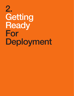# 2. Getting Ready For Deployment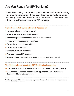## Are You Ready for SIP Trunking?

While SIP trunking can provide your business with many benefits, you must first determine if you have the systems and resources necessary to achieve these benefits. A network assessment can let you know if you are ready for SIP trunking.

- 9 Questions to Ask During a Network Assessment
- 1 How many locations do you have?
- 2 What is the size of your WAN network?
- 3 How many phone connections and lines do you have?
- 4 Is your existing equipment outdated?
- 5 Do you have enough bandwidth?
- 6 Do you have IP PBXs?
- 7 Are your PBXs SIP-enabled?
- 8 Are your phones SIP-enabled?
- 9 Are you talking to a service provider who can meet your needs?

#### The Minimum Requirements for SIP Trunking Implementation

- $\rightarrow$  SIP capable telephony equipment such as an IP-PBX or trunk gateway.
- $\rightarrow$  An IP communications infrastructure, typically an MPLS network or high-speed Internet connection.

Whether you are an SMB or an enterprise, a good provider should be able to give you a scalable solution that meets your needs.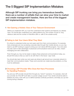## The 5 Biggest SIP Implementation Mistakes

Although SIP trunking can bring you tremendous benefits, there are a number of pitfalls that can slow your time to market and create management hassles. Here are five of the biggest SIP implementation mistakes.

#### 1 Not Gaining a Holistic View of Your Telecom Environment

 Before you implement SIP, you must first understand what systems and features you already have. You should also understand your calling patterns (e.g. the number of local vs. long distance calls and the number of interoffice calls vs. calls to the outside world).

#### 2 Failing to Ask Your Users What They Want

 It's critical to understand what your end users want from their communications. For example, many employees are now accessing corporate data through their mobile devices, so you may need to use SIP trunking to support a bring your own device (BYOD) program. Your end users may also want to take advantage of advanced communications tools such as video, instant messaging and web collaboration.

 "Even through you may not be ready to deploy these advanced communications today, you should think about what you want to do with them in the future," says Turek.

 You should also learn what your end users are doing to get around your corporate network to meet their communications needs. These work-arounds can create security problems, so they must be addressed.

#### 3 Choosing a SIP Provider Who Does Not Have Processes for Handling Problems

 You and your SIP provider should think through any "what if" scenarios. For example, what will your provider do if the SIP trunk fails or a power outage occurs? Your vendor should be able to address any issue, work with you to define business continuity provisions, and keep you up-andrunning during a disaster.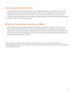#### 4 Not Giving Voice Traffic Priority

 Your SIP provider should ensure that your voice traffic gets priority over other forms of traffic. This will ensure that your phone calls are always clear and your users don't notice a drop in quality after you implement SIP. If you want to run video over your network, you should also consider a service provider that can support multiple classes of service to assign the appropriate priority to video, voice and data traffic.

#### 5 Failing to Consider Administration and Billing

 Some organizations have administration or billing issues after they switch to SIP trunking, as their internal processes need to consider the new technology. For example, a multi-location organization may send one office a huge phone bill for all of its sites, while its other offices don't receive any phone bills. These issues need to be reconciled internally so people know that they are being charged the right amounts.

Most of these mistakes can be avoided with proper planning. It's important to work with a knowledgeable provider who can guide you through the process and consider all of your business and technology needs.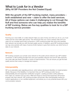### What to Look for in a Vendor (Why All SIP Providers Are Not Created Equal)

With the growth of the SIP trunking market, many providers – both established and new – claim to offer the best services. All of these options can make it challenging to cut through the fluff and find someone who can help you realize the benefits of SIP trunking. Below are five key qualities to look for in a SIP trunking service provider:

#### **Quality**

Running your voice traffic on a data network helps you save money, but when you do so, you must make sure the voice traffic gets priority. This will ensure that your voice is always clear and your users do not complain about bad connections. A SIP trunking provider that owns and operates their network can provide you with the best quality service. In addition, good SIP trunking providers can tag voice packets with class of service (CoS) markers to give them priority over other forms of data on your network.

#### **Network**

SIP trunking connects your private voice network to the public phone network via a SIP enabled connection. A SIP trunking provider that owns and operates national voice and IP data networks can route calls with fewer handoffs or points of interconnection. This can ensure you get the best quality service that is easy to manage and support.

#### Interoperability

SIP is an extensible open signaling protocol, which allows developers flexibility on implementation details. Because of this flexibility, it is important that your SIP trunking provider has an interoperability lab and equipment certification program. Leading providers certify platforms from major UC vendors such as Cisco, Mitel and Avaya to ensure that equipment will function properly with their network. SIP trunking providers should also offer interoperability testing for custom applications or non-certified equipment, and advise you on any potential issues with your communication network.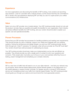#### **Experience**

As more organizations are discovering the benefits of SIP trunking, more vendors are launching new solutions. Look for a provider with a mature product, as this shows that they are committed to SIP. A vendor who has experience deploying SIP can help you use it to super-power your unified communications (UC) infrastructure.

#### Value

Select not only a SIP provider, but a trusted advisor. Your SIP trunking provider should not only sell the product, but also help you quantify and qualify the benefits for your organization. Each industry will achieve different benefits from SIP trunking, and your vendor should be able to explain your specific cost and operational benefits.

#### Proven Processes

Ensure that your SIP provider has processes for handling problems and meeting new requirements. They should provide you with a roadmap, support your needs and integrate with your existing systems. During the architecture and design phases, you and your SIP trunking provider should think through any "what if" scenarios. For example, what will your provider do if the SIP trunk fails? Your vendor should have solid processes for addressing any issues.

Your SIP trunking provider should also make your implementation as low-risk and efficient as possible. They should provide you with a single point of contact for all of your questions and concerns. Their project plan must allow you to focus on your core business while they focus on testing, project management and simplifying your complex networks.

#### **Security**

SIP is a new form of traffic that will need to run on your data network – one that your network may not recognize. Most Internet-based deployments require firewall updates or the deployment of a SIP-aware gateway or session border controller. For greater security, a private IP-VPN network service can completely protect your traffic from Internet-based threats. Your SIP trunking provider should guide you through your options and recommend the most appropriate solution.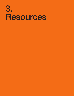## 3. Resources

- 
- 
- -
- -
- -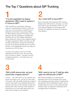## The Top 7 Questions about SIP Trunking

### "I've just upgraded my legacy equipment. Will I need to replace it if I move to SIP?" 1 2

VoIP and SIP are very flexible, allowing a variety of implementation options to help you unify your communications, streamline your networks and achieve cost savings. Many IP-PBXs already support SIP trunking. Trunk gateways are also available to integrate SIP trunking with non-SIP capable equipment. Many equipment vendors have upgrade options for legacy equipment. Make sure that your SIP provider understands not just the technology, but also the business benefits that you hope to achieve. A knowledgeable vendor can help you maximize your SIP success.

You also don't need to move your entire enterprise to SIP all at once. You can start with one office or region – perhaps one with outdated equipment – and build upon your success later.

#### "Do I need VoIP to have SIP?"

Most companies that implement SIP trunking already have VoIP services. However, you don't need VoIP to gain the benefits of SIP. You can use traditional telephony and integrate SIP trunking via a gateway to make your network more efficient.

## 3 4

#### "Will a VoIP phone look, act and sound like a regular phone?"

In short … yes. With VoIP, you can still pick up a phone and make a call – just as you have done in the past. VoIP call quality should be as high as a phone call made over a traditional phone line. Just be sure that your SIP provider can tag your packets with class of service (CoS) markers to ensure that your voice traffic gets priority over other forms of data on your network.

#### "Will I need to let my IT staff go after I gain the efficiencies of SIP?"

SIP trunking simplifies your networks and eliminates some of the complexity that comes with managing a growing number of applications and devices. With a streamlined network, your IT professionals can focus on other areas that add business value, as opposed to being tied down managing network operations.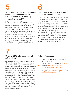#### "Can I keep my calls and information secure when I switch to an IP network that routes everything through the Internet?"

Before you implement SIP, you need to look at your network to determine if you are ready to carry voice traffic over the Internet. You may need to upgrade your network, update your firewalls or change your policies. The deployment of a SIP-aware gateway or session border controller is also required for most Internet-based deployments. For greater security, a private IP-VPN network service can completely protect your traffic from Internetbased threats. Your SIP trunking provider should guide you through your options and recommend the best solution.



#### "What happens if the network goes down or a disaster occurs?"

One of the biggest concerns about SIP is quality of service and what will happen to voice if the Internet crashes. SIP centralizes your business continuity and disaster recovery, which enables you to stay up and running if your network goes down or if a disaster occurs. For example, when a traditional network is interrupted, you must manually reroute it. With SIP, if the power goes down in one office, the network can automatically redirect calls to another site without disrupting business. SIP trunking also reduces the amount of hardware you need, which eliminates potential points of failure and makes your phone service more reliable.

## 7

#### "Can my SMB take advantage of SIP trunking?"

An increasing number of SMBs are turning to SIP trunking to gain the same advantages that enterprises are seeking – such as increased savings and efficiencies. SIP can allow SMBs to manage costs more efficiently, extend into new markets and support remote workers. Achieving these benefits can also help SMBs compete with larger businesses, as they'll have the same technologies and access to new markets. Your provider should offer access to SIP trunking through your existing Internet connection, even if you don't have an MPLS network. Just ensure that your SIP provider doesn't treat you like a smaller version of a big business. They should provide a service that is customized for your needs, size and number of locations.

#### Related Resources

- $\rightarrow$  More SIP trunking questions answered at allstream.com
- $\rightarrow$  Read articles on SIP trunking at expertIP
- $\rightarrow$  View the SIP Trunking: Take Your UC Strategy to the Next Level webinar
- $\rightarrow$  View the The IT Manager's Guide to Voice and Data Convergence webinar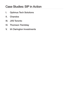## Case Studies: SIP in Action

- I. Optimus Tech Solutions
- II. Chandos
- III. JVS Toronto
- IV. Thomson Tremblay
- V. IA Clarington Investments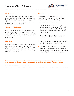

With 300 clients in the Greater Toronto Area and an expanding national presence, Optimus Tech Solutions offers a comprehensive portfolio of IT implementation and support services for small-to-medium businesses.

#### Network Challenge

Committed to implementing a SIP telephone and trunking solution in a short time frame, Optimus Tech Solutions needed a provider with deep technical knowledge and a cooperative work model.

#### **Solution**

Optimus Tech Solutions now has an Allstream SIP phone solution in place, including SIP phones and trunks, which fully enables mobility and home office functionality while maintaining main office presence.

#### **Results**

By partnering with Allstream, Optimus Tech Solutions was able to fully converge its technologies on a single unified communications platform and:

- $\rightarrow$  Enable 70 users (from Optimus Tech Solutions and its sister company) to work continuously on integrated desk phones, laptops and cell phones for approximately \$500/month.
- $\rightarrow$  Cut out the majority of its long distance expenses.
- $\rightarrow$  Improve customer service and representative availability across the organization.
- $\rightarrow$  Demonstrate its commitment to "bleeding" edge" technology to its clients. Leverage platform scalability to implement new features and functionality on an ongoing basis.

#### "We were able to partner with Allstream on perfecting and customizing this solution. Now we have complete system flexibility and control. We got exactly what we wanted"

**– Peter Daher**, Partner, Optimus Tech Solutions.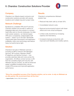

Chandos is an Alberta-based contractor and construction solutions provider with several locations and multiple long-term project sites.

#### Network Challenge

Burdened by unreliable VPN and IP services, Chandos needed one provider to deliver an integrated data and voice solution to connect head office and on-the-job employees. Its older, multi-vendor solutions—an Internet-based VPN and a consistently undependable VoIP system— weren't up to the task. Bandwidth clogs limited data transmission and application availability, while voice technology was featureheavy but performance-light.

#### Solution

Chandos's full suite of Allstream services including an MPLS network with Managed Services, SIP trunking, Allstream Shield, IP telephony and Secure Connect— now provides seamless data and voice across the organization. All offices connect across a LAN that has complete single-point security with Allstream Secure Connect, as well as enhanced speed, simplified troubleshooting, secure mobile VPN access and improved application performance.

#### **Results**

Chandos's comprehensive Allstream solution has:

- $\rightarrow$  Reduced help desk calls by at least 30%.
- $\rightarrow$  Consolidated network costs.
- $\rightarrow$  Reduced environmental footprint with fewer offices and more virtual workspace.
- $\rightarrow$  Limited costly downtime by increasing capacity and redundancy.
- $\rightarrow$  Increased employee productivity with improved work flexibility and mobility options.

"Since the unqualified success of the Chandos solution, we've come to rely on Allstream as an elite partner. We recommend them all the time."

- Jaycen Kuehn, Partner, SNS Technologists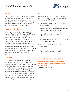

With locations in seven Toronto communities and over 200 employees, JVS Toronto is a non-profit organization that partners with both the government and business sectors to help people of diverse backgrounds meet their educational and employment goals.

#### Business Challenges

Faced with an outmoded communications system of disparate technologies, JVS Toronto wanted a system that would integrate seven offices, add functionality and allow them the flexibility to easily expand and contract their office network to meet future demands. However, the organization's outmoded communications system of disparate technologies meant that all calls—even those between locations—had to be routed through a reception desk or auto-attendant, while internal moves, adds and changes required a thirdparty service call.

#### Solution

JVS Toronto's offices are now connected by a fully managed MPLS network, SIP trunking, Internet data service and a Mitel 3300 controller enabling Unified Communications services, with Allstream as the single point of contact for service and upgrades. SIP Trunking allows voice-data convergence for better connectivity and collaboration between offices, as well as improved customer service, while the Mitel system enables better data capture, including call reporting, accounting and recording.

#### **Results**

Allstream MPLS and SIP trunking combined with Mitel's Unified Communications solution has allowed JVS Toronto to:

- $\rightarrow$  Converge voice and data communications on a single line.
- $\rightarrow$  Increase productivity and mission focus with a fully managed Allstream solution.
- $\rightarrow$  Improve internal connectivity and collaboration.
- $\rightarrow$  Add communications functionality, including voice and fax to e-mail.
- $\rightarrow$  Enhance call reporting and data capture capabilities.
- $\rightarrow$  Increase organizational continuity with data centre and communications failover.

"Price and functionality were factors, but Allstream's ability to implement and manage both the network and the Mitel UC solution settled it—and we're very happy with the results."

– Ron Malis, Consultant, JVS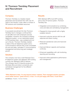#### IV. Thomson Tremblay Placement and Recruitment



Thomson Tremblay Inc. RECRUTEMENT ET PLACEMENT DE PERSONNEL

#### **Company**

Thomson Tremblay is a Quebec-based placement and recruitment firm with over 40 years in the industry. It also offers a number of HR solutions and candidate resources.

#### Business Challenges

A successful recruitment firm like Thomson Tremblay has to manage a continual flow of call traffic from both employers and job candidates. However, the company's existing telephone system—a non-networked system of PRI business lines—was outdated and not up to the job. Thomson Tremblay needed a state-of-the-art telephone system and a communications network that could consolidate all voice and data, centralize IT communications management and drive long-term strategic growth.

#### Solution

The company now has a multi-featured Cisco IP telephone system and Allstream SIP trunking running over Allstream's MPLS network. The company has E10 Internet access at its Montreal office and direct connectivity and centralized management for five different Quebec sites.

#### **Results**

With Allstream MPLS and SIP trunking and a Cisco IP phone system, Thomson Tremblay has:

- $\rightarrow$  Integrated communications by combining voice and data and centralizing management.
- $\rightarrow$  Prepared for future growth with a highly scalable network.
- $\rightarrow$  Improved customer service with live call response and direct routing.
- $\rightarrow$  Reduced operational costs and improved productivity.
- $\rightarrow$  Improved failover capacity and business continuity.
- $\rightarrow$  Enhanced capabilities with call monitoring, reporting and recording.
- $\rightarrow$  Improved online applications performance and management.

"With Allstream's help, I'm way beyond where I started. Their managed solution provides much better service—great service, in fact. I'm not just happy with them; I trust them."

Joe Bertucci, President, Thomson Tremblay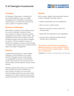

IA Clarington Investments, a subsidiary of the Industrial Alliance Group, is a wealth management firm dedicated to providing a broad selection of investment solutions that meet a variety of investment needs.

#### Business Challenges

With billions in assets and nine offices across the country, Clarington needed a robust voice network to support customer portfolio management and a busy contact centre. This bulletproof network had to support huge file transfers throughout the day and be scalable for growth. The firm needed to evolve to a network and telephony solution robust enough to maintain high customer service levels and the scale of its wealth management.

#### **Solution**

A relationship going back 10 years helped Clarington choose Allstream for a robust and fully redundant solution that includes a managed MPLS network, E100 Ethernet access, SIP trunking, voice services and an Avaya Unified Communications contact centre solution.

Allstream delivers SIP trunking on its network with an MPLS and PSTN connection at each location for failover. On top of that network resides Internet access with multiple redundancy for data at internal locations and double redundancy for VoIP across the PSTN.

#### **Results**

With a secure, reliable, high-bandwidth network in place, Clarington has been able to:

- $\rightarrow$  Improve productivity and user satisfaction.
- $\rightarrow$  Set up its own contact centre.
- $\rightarrow$  Monitor and improve client contact and increase sales.
- $\rightarrow$  Easily add new applications and capabilities.
- $\rightarrow$  Comply with constantly evolving financial services sector regulations.

#### "The beauty of this network is its elegance. Allstream proposed a unique solution that fits our current and future needs exactly – nothing more, nothing less."

**– George Ho,** Vice President, Information Systems and Technology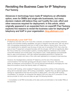### Revisiting the Business Case for IP Telephony Paul Tauberg

Advances in technology have made IP telephony an affordable option, even for SMBs and single-site businesses, but many decision makers still believe they can't justify the cost, effort and other resources required for deployment. In this article, which originally appeared in an expanded form on expertIP, Paul Tauberg explores five reasons to revisit the business case for deploying IP telephony and VoIP in your organization. blog.allstream.com

#### 1 Dramatically Lower VoIP TCO

IP telephony has been with us for more than a decade, but despite the technology's attractive features and business-building capabilities, the pace of adoption has been slow, with only about 40% of businesses employing some form of VoIP in their offices or factory floors. One of the main impediments for adoption was the issue of total cost of ownership (TCO). Even when the price of new IP equipment compared favorably with the old gear, VoIP did not significantly affect the TCO of other key communication systems, including telephony interfaces to the outside world (PRI interfaces and monthly fees), long distance costs, media gateways and bandwidth fees for data communications. VoIP also required specialized personnel to maintain the communication system and many of the costs were replicated at a company's local branches.

However, the interdependency between IP telephony and the rest of the enterprise communications TCO has been growing and will grow closer in the future. This is for the better, as enterprise communications TCO can be reduced dramatically by leveraging two new telecommunications trends that directly relate to IP telephony.

The first is SIP trunking, which enables IP telephony beyond the confines of the enterprise, along with its extended variant, SIP trunking consolidation. Together they can deliver significant savings for organizations that have the acumen to deploy them. Let's look at SIP trunking consolidation, for example. An enterprise that deploys VoIP and uses an IP connection to their service provider for both voice and data can gain the following benefits:

 $\rightarrow$  Consolidation of all PBX functionality at the data centre and elimination of all smaller PBXs at the branches.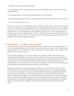$\rightarrow$  Elimination of all direct PSTN links (PRIs).

 $\rightarrow$  Consolidation of all SIP trunking connectivity at the data center and the elimination of local media gateways.

- $\rightarrow$  Lower long distance costs through the optimized IP routing of calls.
- $\rightarrow$  Data bandwidth savings through converging voice and data connectivity over the IP network.
- $\rightarrow$  A TCO savings of 40% or more.

You also can't ignore the TCO potential of the smartphone, which has evolved from a symbol of juvenile self-absorption to an indispensable tool in many business interactions and the growing bring your own device (BYOD) trend. Since most smartphones work on both cellular and Wi-Fi networks, they can be integrated with an IP telephony system and, in many cases, replace or partially replace desktop telephone sets. If 30% of desk phones are replaced by mobile devices, an organization can save up to 25% on the total cost of purchasing new phones, an option not available with old digital telephony systems.

#### 2 Keep Talking — No Matter What Happens

Until recently the Internet and online applications were regarded as too unreliable to play a role in a vital enterprise infrastructure. IP telephony was often used as a case in point. While people enjoyed talking over the Internet, they did so knowing they could not rely on voice quality or full service for the duration of the call.

Due to steady advances in technology, capacity and business models, the Internet is now considerably more resilient, so much so that it has become, in many instances, the preferred vehicle for implementing business continuity strategies and protecting enterprises from outages and disruptions. The Internet's decentralized structure, ability to converge several types of communications on the same pipe, and the lack of multiple common points of failure also gives it an advantage over traditional hierarchical back-up technologies.

Business continuity plans are best served by IP telephony services that rely on the Internet for connectivity to the outside world. IP telephony makes enterprises more agile and resilient, more ready to face adversity or change. By distributing servers among geographically diverse locations and by subscribing to SIP trunking, organizations can better protect themselves against outages and disruption. That protection is even stronger when the Internet is accessed through an MPLS-based WAN service that prioritizes traffic and offers an intrinsic self-healing mesh topology. These same capabilities also make IP telephony the ideal platform for quickly deploying new applications, updating network configurations and changing the number of users.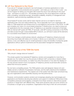#### 3 Lift Your Network to the Cloud

If you are an IT manager scouting for new technologies or business applications to make your organization more productive and successful – and make you a hero in the C suite – you can be forgiven for letting your thoughts drift toward the cloud. Even allowing for the usual hype – and there is no lack of it – the benefits promised by the cloud deployment model are quite compelling: substantial savings, remarkable scalability, simplicity of management and operations, rapid provisioning capabilities and more.

Cloud-based IP access works well for basic Internet use but is not ideal for real time applications like voice and videoconferencing. This is especially true if your organization still relies on TDM equipment and infrastructure for local telephony and access to the PSTN. To fulfill and complete your vision of a cloud-based enterprise IT infrastructure, you need to bring your UC applications into the corporate cloud. IP telephony is an essential component of that plan. With an internal VoIP system (IP PBX), IP terminals, solid SIP trunking connectivity to the PSTN, and data access through a QoS enabled MPLS network, you will have in place all the elements for a successful cloud-based UC environment.

Even if you manage a small business network, adopting an IP telephony infrastructure and becoming cloud ready still makes a lot of sense. It allows you to subscribe to a hosted UC service, a very cost-effective way for small businesses to enjoy the benefits of enterprise grade applications without upfront investments and the associated management headaches.

#### 4 Undo the Curse of the TDM Die-hards

"Why should I change what isn't broken?"

This simple question has bedeviled IP telephony vendors and evangelists for more than a decade now. No matter how rosy the pictures of efficient VoIP connectivity or blissful Unified Communications environments, no matter how shiny the buttons or how slick the displays of the new phones waved in front of prospects, IP telephony pitches would fizzle after someone asked that innocuous question.

No one had a compelling answer. The TDM systems were well designed, feature-rich and reliably served a multitude of businesses of all sizes, and the staff understood the installation and maintenance requirements. The original cost of the system had often been amortized long ago and organizations were essentially enjoying cost-free performance.

However, communication systems vendors are increasingly adopting new technologies and applications and therefore devoting less attention and support to traditional TDM product lines. Competitive pressures and budgetary constraints force these vendors to discontinue popular products or merge them with different lines. These same dynamics also put some vendors out of business or bought up by competitors. Organizations that cling to their old communication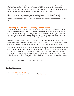systems are finding it difficult to obtain support or upgrades from vendors. The more they postpone the decision to make the transition to IP telephony systems, the more risk of disruption they incur and the more they are going to have to pay when they eventually decide to move. Wait-and-see policies are becoming shortsighted and expensive.

Meanwhile, the new technologies have matured and proven its worth. VoIP, unified communications and SIP trunking have all reached new levels of performance and resilience and are delivering a solid ROI. The time has come to leave the past behind and move to the future.

#### 5 Answering the Call for IP Telephony Transformation

We are at the cusp of a transformative change in the way people communicate and interact at work. There are multiple ways to reach each other wherever we're working, and multiple communications channels and devices continuously compete for our attention. We expect the wonderful communication tools and gadgets to work anywhere and under any conditions. Those realities and expectations embody the very definition of unified communications.

IP Telephony is the stepping stone on all roads to UC and their amazing collaboration and productivity benefits. Whether you plan to deploy your own UC infrastructure or lease it through a cloud arrangement, there is no question about the necessity of making the transition.

This goes beyond a simple business case calculation. Just go around the office and look at the young workers who've joined the organization. They seem to relish moving between screens and devices and can carry on multiple productive communication sessions over a number of interfaces. Their generation is equally comfortable working at a desk, in the corner of a cafe or while riding a night train. A UC-enabled office is the ideal environment to unleash that youthful creative energy and attract fresh talent.

That future is almost here. You certainly want to be part of it.

#### Related Resources

- $\rightarrow$  Read the original article series
- $\rightarrow$  Learn more about the benefits of IP telephony at allstream.com.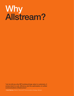## Why Allstream?

"Let me tell you why SIP trunking brings value to customers, it comes down to cost, efficiency and the optimization of unified communications infrastructure."

– Grant Bykowy, Director, Voice and IP Communications Strategy, Allstream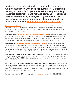Allstream is the only national communications provider working exclusively with business customers. Our focus is helping you simplify IT operations to improve productivity, maximize performance and manage costs. Our IP solutions are delivered on a fully managed, fully secure national network and backed by our industry-leading commitment to customer service: The Allstream Service Guarantee.

**Six Classes of Service** to prioritize network traffic across applications and between users. Allstream's CoS MPLS network provides enhanced support for your applications, ensuring voice traffic prioritization and reliable data routing, yielding lower operating costs and significant improvements in network efficiency.

Allstream offers SIP trunking through your Internet connection to meet the needs of small and mid-size businesses. Even single-location businesses without MPLS networks can reap the benefits of voice and data convergence. Our SIP trunking over Internet is also enabled by CoS, which prioritizes voice calls to ensure your call quality does not suffer jitter and latency.

**Protect against distributed denial of service (DDoS) attacks** at every network connection to the Internet. DDoS attacks, which clog the network with traffic that block out legitimate users and customers, often go undetected, causing business loss and reputation damage. Allstream's Secure Connect enhances visibility and reporting for DDoS and other anomalous traffic, proactively interrupts malicious traffic, identifies attacking hosts, and improves regulatory compliance.

**Allstream improves your business continuity plan** with two geographically diverse SIP trunking Voice Gateways, one in Toronto and one in Vancouver. Customer routers can be provisioned with the IP addresses of both SBC's at the voice gateways so they can switch traffic between the two links when necessary

Allstream was the first national provider in Canada to offer SIP trunking and the first provider to certify all leading PBX solutions in the market with its service. This provides Allstream customers a competitive advantage in a market place where effective telecommunication is tremendously important. As an Allstream customer you can always count on having access to the most advanced communication technologies and business models.

For more information on SIP trunking, please visit **allstream.com** or call 1-855-299-7050